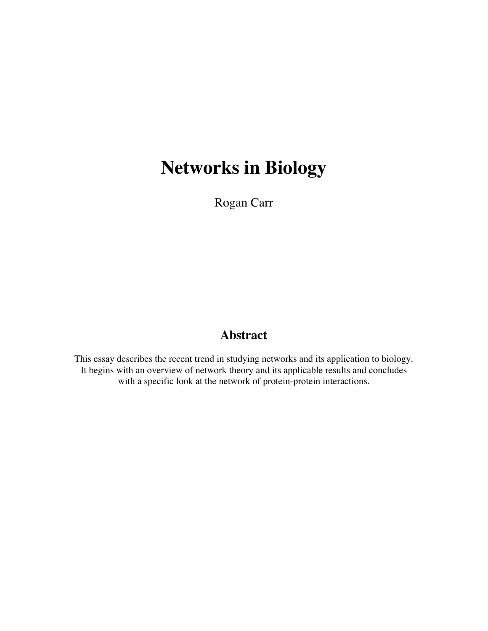# **Networks in Biology**

Rogan Carr

## **Abstract**

This essay describes the recent trend in studying networks and its application to biology. It begins with an overview of network theory and its applicable results and concludes with a specific look at the network of protein-protein interactions.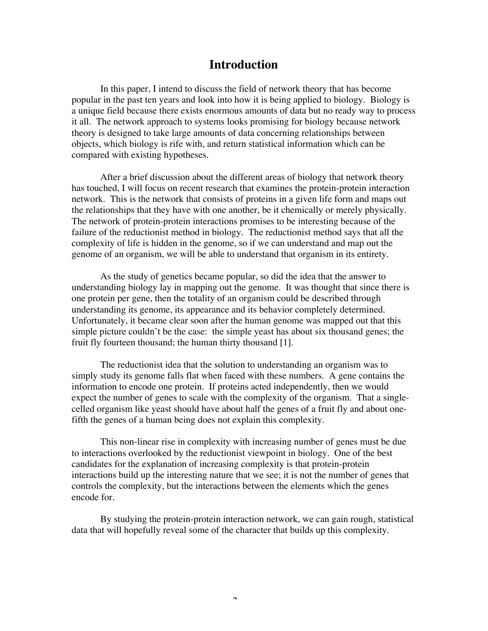## **Introduction**

In this paper, I intend to discuss the field of network theory that has become popular in the past ten years and look into how it is being applied to biology. Biology is a unique field because there exists enormous amounts of data but no ready way to process it all. The network approach to systems looks promising for biology because network theory is designed to take large amounts of data concerning relationships between objects, which biology is rife with, and return statistical information which can be compared with existing hypotheses.

After a brief discussion about the different areas of biology that network theory has touched, I will focus on recent research that examines the protein-protein interaction network. This is the network that consists of proteins in a given life form and maps out the relationships that they have with one another, be it chemically or merely physically. The network of protein-protein interactions promises to be interesting because of the failure of the reductionist method in biology. The reductionist method says that all the complexity of life is hidden in the genome, so if we can understand and map out the genome of an organism, we will be able to understand that organism in its entirety.

As the study of genetics became popular, so did the idea that the answer to understanding biology lay in mapping out the genome. It was thought that since there is one protein per gene, then the totality of an organism could be described through understanding its genome, its appearance and its behavior completely determined. Unfortunately, it became clear soon after the human genome was mapped out that this simple picture couldn't be the case: the simple yeast has about six thousand genes; the fruit fly fourteen thousand; the human thirty thousand [1].

The reductionist idea that the solution to understanding an organism was to simply study its genome falls flat when faced with these numbers. A gene contains the information to encode one protein. If proteins acted independently, then we would expect the number of genes to scale with the complexity of the organism. That a singlecelled organism like yeast should have about half the genes of a fruit fly and about onefifth the genes of a human being does not explain this complexity.

This non-linear rise in complexity with increasing number of genes must be due to interactions overlooked by the reductionist viewpoint in biology. One of the best candidates for the explanation of increasing complexity is that protein-protein interactions build up the interesting nature that we see; it is not the number of genes that controls the complexity, but the interactions between the elements which the genes encode for.

By studying the protein-protein interaction network, we can gain rough, statistical data that will hopefully reveal some of the character that builds up this complexity.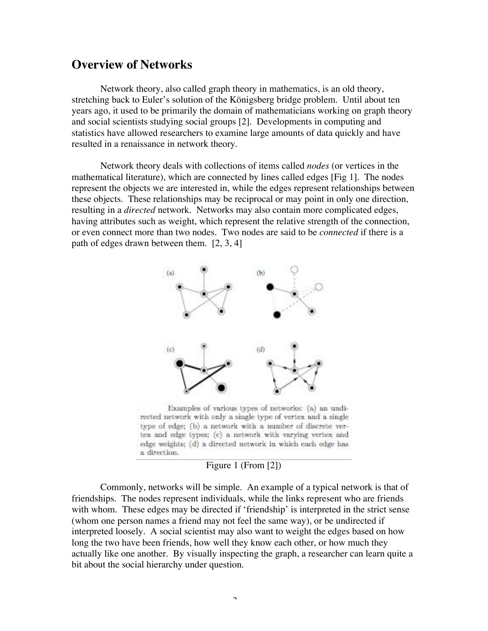## **Overview of Networks**

Network theory, also called graph theory in mathematics, is an old theory, stretching back to Euler's solution of the Königsberg bridge problem. Until about ten years ago, it used to be primarily the domain of mathematicians working on graph theory and social scientists studying social groups [2]. Developments in computing and statistics have allowed researchers to examine large amounts of data quickly and have resulted in a renaissance in network theory.

Network theory deals with collections of items called *nodes* (or vertices in the mathematical literature), which are connected by lines called edges [Fig 1]. The nodes represent the objects we are interested in, while the edges represent relationships between these objects. These relationships may be reciprocal or may point in only one direction, resulting in a *directed* network. Networks may also contain more complicated edges, having attributes such as weight, which represent the relative strength of the connection, or even connect more than two nodes. Two nodes are said to be *connected* if there is a path of edges drawn between them. [2, 3, 4]



rected network with only a single type of vertex and a single type of edge; (b) a network with a number of discrete vertex and edge types; (c) a network with varying vertex and edge weights; (d) a directed network in which each edge has a direction.

#### Figure 1 (From [2])

Commonly, networks will be simple. An example of a typical network is that of friendships. The nodes represent individuals, while the links represent who are friends with whom. These edges may be directed if 'friendship' is interpreted in the strict sense (whom one person names a friend may not feel the same way), or be undirected if interpreted loosely. A social scientist may also want to weight the edges based on how long the two have been friends, how well they know each other, or how much they actually like one another. By visually inspecting the graph, a researcher can learn quite a bit about the social hierarchy under question.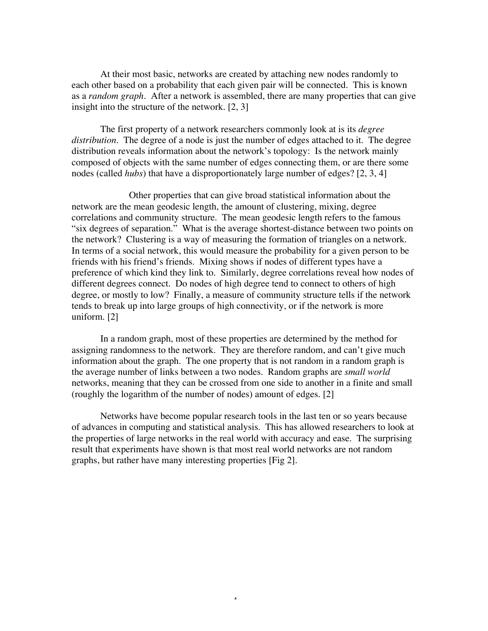At their most basic, networks are created by attaching new nodes randomly to each other based on a probability that each given pair will be connected. This is known as a *random graph*. After a network is assembled, there are many properties that can give insight into the structure of the network. [2, 3]

The first property of a network researchers commonly look at is its *degree distribution*. The degree of a node is just the number of edges attached to it. The degree distribution reveals information about the network's topology: Is the network mainly composed of objects with the same number of edges connecting them, or are there some nodes (called *hubs*) that have a disproportionately large number of edges? [2, 3, 4]

Other properties that can give broad statistical information about the network are the mean geodesic length, the amount of clustering, mixing, degree correlations and community structure. The mean geodesic length refers to the famous "six degrees of separation." What is the average shortest-distance between two points on the network? Clustering is a way of measuring the formation of triangles on a network. In terms of a social network, this would measure the probability for a given person to be friends with his friend's friends. Mixing shows if nodes of different types have a preference of which kind they link to. Similarly, degree correlations reveal how nodes of different degrees connect. Do nodes of high degree tend to connect to others of high degree, or mostly to low? Finally, a measure of community structure tells if the network tends to break up into large groups of high connectivity, or if the network is more uniform. [2]

In a random graph, most of these properties are determined by the method for assigning randomness to the network. They are therefore random, and can't give much information about the graph. The one property that is not random in a random graph is the average number of links between a two nodes. Random graphs are *small world* networks, meaning that they can be crossed from one side to another in a finite and small (roughly the logarithm of the number of nodes) amount of edges. [2]

Networks have become popular research tools in the last ten or so years because of advances in computing and statistical analysis. This has allowed researchers to look at the properties of large networks in the real world with accuracy and ease. The surprising result that experiments have shown is that most real world networks are not random graphs, but rather have many interesting properties [Fig 2].

4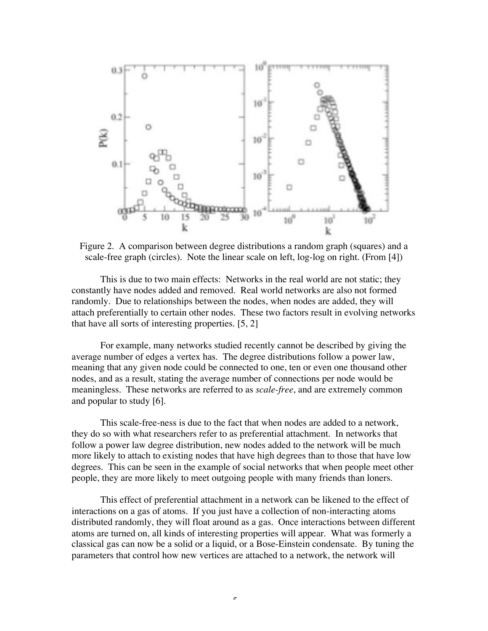

Figure 2. A comparison between degree distributions a random graph (squares) and a scale-free graph (circles). Note the linear scale on left, log-log on right. (From [4])

This is due to two main effects: Networks in the real world are not static; they constantly have nodes added and removed. Real world networks are also not formed randomly. Due to relationships between the nodes, when nodes are added, they will attach preferentially to certain other nodes. These two factors result in evolving networks that have all sorts of interesting properties. [5, 2]

For example, many networks studied recently cannot be described by giving the average number of edges a vertex has. The degree distributions follow a power law, meaning that any given node could be connected to one, ten or even one thousand other nodes, and as a result, stating the average number of connections per node would be meaningless. These networks are referred to as *scale-free*, and are extremely common and popular to study [6].

This scale-free-ness is due to the fact that when nodes are added to a network, they do so with what researchers refer to as preferential attachment. In networks that follow a power law degree distribution, new nodes added to the network will be much more likely to attach to existing nodes that have high degrees than to those that have low degrees. This can be seen in the example of social networks that when people meet other people, they are more likely to meet outgoing people with many friends than loners.

This effect of preferential attachment in a network can be likened to the effect of interactions on a gas of atoms. If you just have a collection of non-interacting atoms distributed randomly, they will float around as a gas. Once interactions between different atoms are turned on, all kinds of interesting properties will appear. What was formerly a classical gas can now be a solid or a liquid, or a Bose-Einstein condensate. By tuning the parameters that control how new vertices are attached to a network, the network will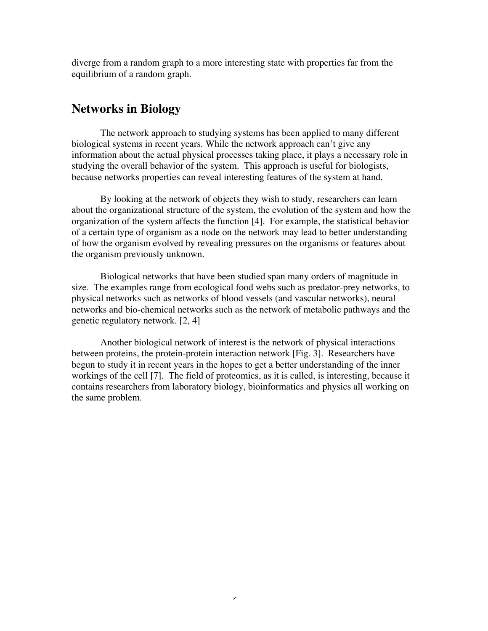diverge from a random graph to a more interesting state with properties far from the equilibrium of a random graph.

## **Networks in Biology**

The network approach to studying systems has been applied to many different biological systems in recent years. While the network approach can't give any information about the actual physical processes taking place, it plays a necessary role in studying the overall behavior of the system. This approach is useful for biologists, because networks properties can reveal interesting features of the system at hand.

By looking at the network of objects they wish to study, researchers can learn about the organizational structure of the system, the evolution of the system and how the organization of the system affects the function [4]. For example, the statistical behavior of a certain type of organism as a node on the network may lead to better understanding of how the organism evolved by revealing pressures on the organisms or features about the organism previously unknown.

Biological networks that have been studied span many orders of magnitude in size. The examples range from ecological food webs such as predator-prey networks, to physical networks such as networks of blood vessels (and vascular networks), neural networks and bio-chemical networks such as the network of metabolic pathways and the genetic regulatory network. [2, 4]

Another biological network of interest is the network of physical interactions between proteins, the protein-protein interaction network [Fig. 3]. Researchers have begun to study it in recent years in the hopes to get a better understanding of the inner workings of the cell [7]. The field of proteomics, as it is called, is interesting, because it contains researchers from laboratory biology, bioinformatics and physics all working on the same problem.

 $\epsilon$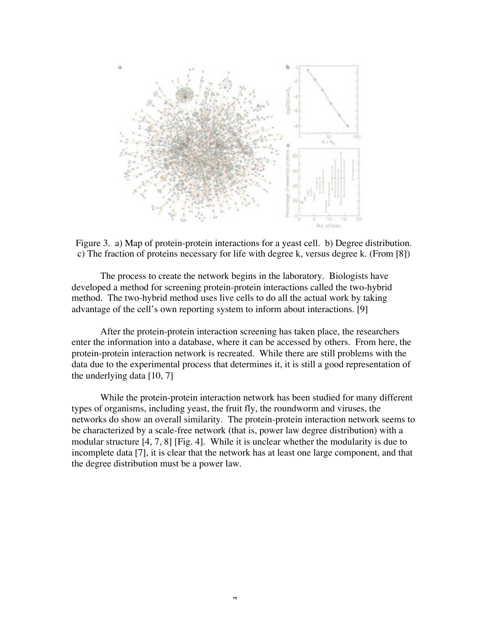

Figure 3. a) Map of protein-protein interactions for a yeast cell. b) Degree distribution. c) The fraction of proteins necessary for life with degree k, versus degree k. (From [8])

The process to create the network begins in the laboratory. Biologists have developed a method for screening protein-protein interactions called the two-hybrid method. The two-hybrid method uses live cells to do all the actual work by taking advantage of the cell's own reporting system to inform about interactions. [9]

After the protein-protein interaction screening has taken place, the researchers enter the information into a database, where it can be accessed by others. From here, the protein-protein interaction network is recreated. While there are still problems with the data due to the experimental process that determines it, it is still a good representation of the underlying data  $[10, 7]$ 

While the protein-protein interaction network has been studied for many different types of organisms, including yeast, the fruit fly, the roundworm and viruses, the networks do show an overall similarity. The protein-protein interaction network seems to be characterized by a scale-free network (that is, power law degree distribution) with a modular structure [4, 7, 8] [Fig. 4]. While it is unclear whether the modularity is due to incomplete data [7], it is clear that the network has at least one large component, and that the degree distribution must be a power law.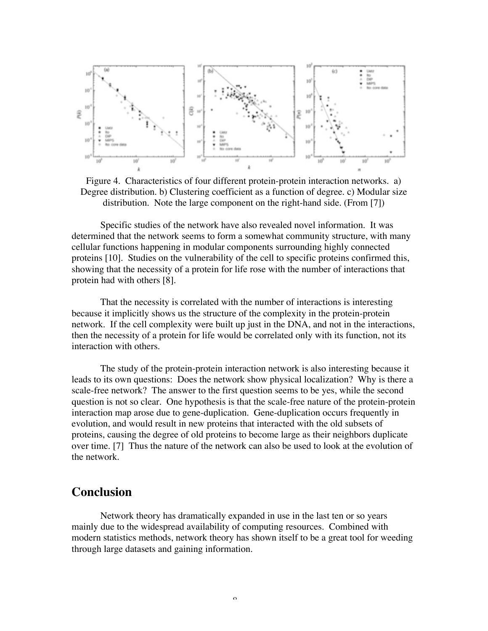

Figure 4. Characteristics of four different protein-protein interaction networks. a) Degree distribution. b) Clustering coefficient as a function of degree. c) Modular size distribution. Note the large component on the right-hand side. (From [7])

Specific studies of the network have also revealed novel information. It was determined that the network seems to form a somewhat community structure, with many cellular functions happening in modular components surrounding highly connected proteins [10]. Studies on the vulnerability of the cell to specific proteins confirmed this, showing that the necessity of a protein for life rose with the number of interactions that protein had with others [8].

That the necessity is correlated with the number of interactions is interesting because it implicitly shows us the structure of the complexity in the protein-protein network. If the cell complexity were built up just in the DNA, and not in the interactions, then the necessity of a protein for life would be correlated only with its function, not its interaction with others.

The study of the protein-protein interaction network is also interesting because it leads to its own questions: Does the network show physical localization? Why is there a scale-free network? The answer to the first question seems to be yes, while the second question is not so clear. One hypothesis is that the scale-free nature of the protein-protein interaction map arose due to gene-duplication. Gene-duplication occurs frequently in evolution, and would result in new proteins that interacted with the old subsets of proteins, causing the degree of old proteins to become large as their neighbors duplicate over time. [7] Thus the nature of the network can also be used to look at the evolution of the network.

## **Conclusion**

Network theory has dramatically expanded in use in the last ten or so years mainly due to the widespread availability of computing resources. Combined with modern statistics methods, network theory has shown itself to be a great tool for weeding through large datasets and gaining information.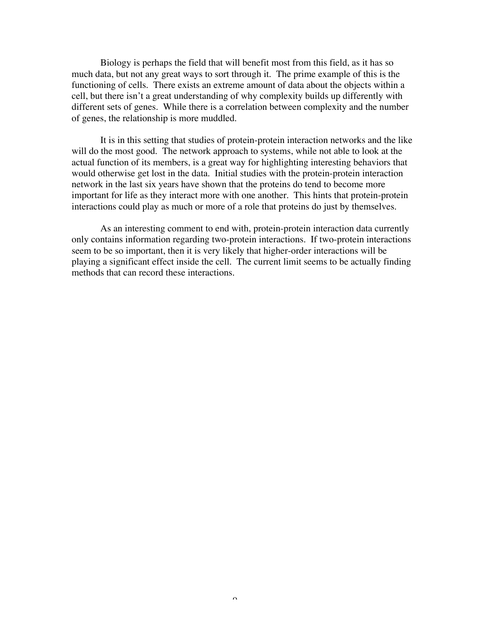Biology is perhaps the field that will benefit most from this field, as it has so much data, but not any great ways to sort through it. The prime example of this is the functioning of cells. There exists an extreme amount of data about the objects within a cell, but there isn't a great understanding of why complexity builds up differently with different sets of genes. While there is a correlation between complexity and the number of genes, the relationship is more muddled.

It is in this setting that studies of protein-protein interaction networks and the like will do the most good. The network approach to systems, while not able to look at the actual function of its members, is a great way for highlighting interesting behaviors that would otherwise get lost in the data. Initial studies with the protein-protein interaction network in the last six years have shown that the proteins do tend to become more important for life as they interact more with one another. This hints that protein-protein interactions could play as much or more of a role that proteins do just by themselves.

As an interesting comment to end with, protein-protein interaction data currently only contains information regarding two-protein interactions. If two-protein interactions seem to be so important, then it is very likely that higher-order interactions will be playing a significant effect inside the cell. The current limit seems to be actually finding methods that can record these interactions.